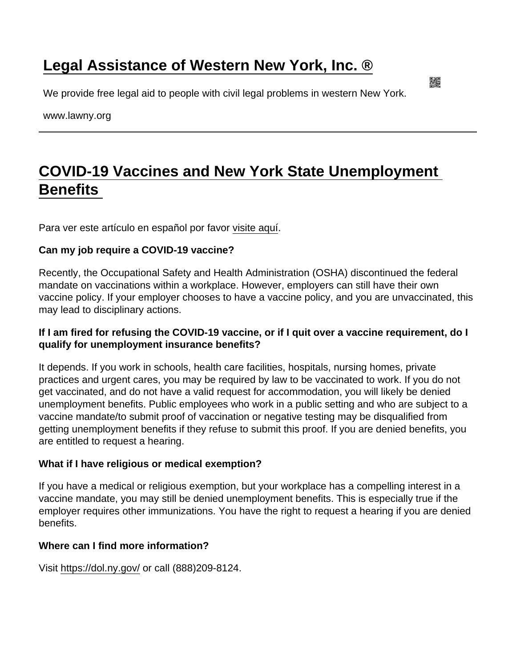## [Legal Assistance of Western New York, Inc. ®](https://www.lawny.org/)

We provide free legal aid to people with civil legal problems in western New York.

www.lawny.org

## [COVID-19 Vaccines and New York State Unemployment](https://www.lawny.org/node/504/covid-19-vaccines-and-new-york-state-unemployment-benefits)  **Benefits**

Para ver este artículo en español por favor [visite aquí](https://www.lawny.org/node/505/vacunas-covid-19-y-beneficios-de-desempleo-del-estado-de-nueva-york).

Can my job require a COVID-19 vaccine?

Recently, the Occupational Safety and Health Administration (OSHA) discontinued the federal mandate on vaccinations within a workplace. However, employers can still have their own vaccine policy. If your employer chooses to have a vaccine policy, and you are unvaccinated, this may lead to disciplinary actions.

If I am fired for refusing the COVID-19 vaccine, or if I quit over a vaccine requirement, do I qualify for unemployment insurance benefits?

It depends. If you work in schools, health care facilities, hospitals, nursing homes, private practices and urgent cares, you may be required by law to be vaccinated to work. If you do not get vaccinated, and do not have a valid request for accommodation, you will likely be denied unemployment benefits. Public employees who work in a public setting and who are subject to a vaccine mandate/to submit proof of vaccination or negative testing may be disqualified from getting unemployment benefits if they refuse to submit this proof. If you are denied benefits, you are entitled to request a hearing.

What if I have religious or medical exemption?

If you have a medical or religious exemption, but your workplace has a compelling interest in a vaccine mandate, you may still be denied unemployment benefits. This is especially true if the employer requires other immunizations. You have the right to request a hearing if you are denied benefits.

Where can I find more information?

Visit<https://dol.ny.gov/> or call (888)209-8124.